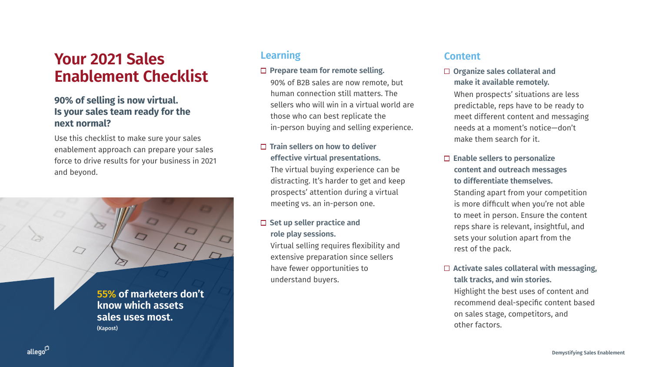# **Your 2021 Sales Enablement Checklist**

#### **90% of selling is now virtual. Is your sales team ready for the next normal?**

Use this checklist to make sure your sales enablement approach can prepare your sales force to drive results for your business in 2021 and beyond.

## **Learning**

90% of B2B sales are now remote, but human connection still matters. The sellers who will win in a virtual world are those who can best replicate the in-person buying and selling experience.

#### **Train sellers on how to deliver effective virtual presentations.**

The virtual buying experience can be distracting. It's harder to get and keep prospects' attention during a virtual meeting vs. an in-person one.

# □ Set up seller practice and

- -
	-
- **role play sessions.** understand buyers.

Virtual selling requires flexibility and extensive preparation since sellers have fewer opportunities to

#### □ Prepare team for remote selling.

### **Content**

 **Organize sales collateral and make it available remotely.** When prospects' situations are less predictable, reps have to be ready to meet different content and messaging needs at a moment's notice—don't make them search for it.

#### **Enable sellers to personalize content and outreach messages to differentiate themselves.**

Standing apart from your competition is more difficult when you're not able to meet in person. Ensure the content reps share is relevant, insightful, and sets your solution apart from the rest of the pack.

#### **Activate sales collateral with messaging, talk tracks, and win stories.**

Highlight the best uses of content and recommend deal-specific content based on sales stage, competitors, and other factors.